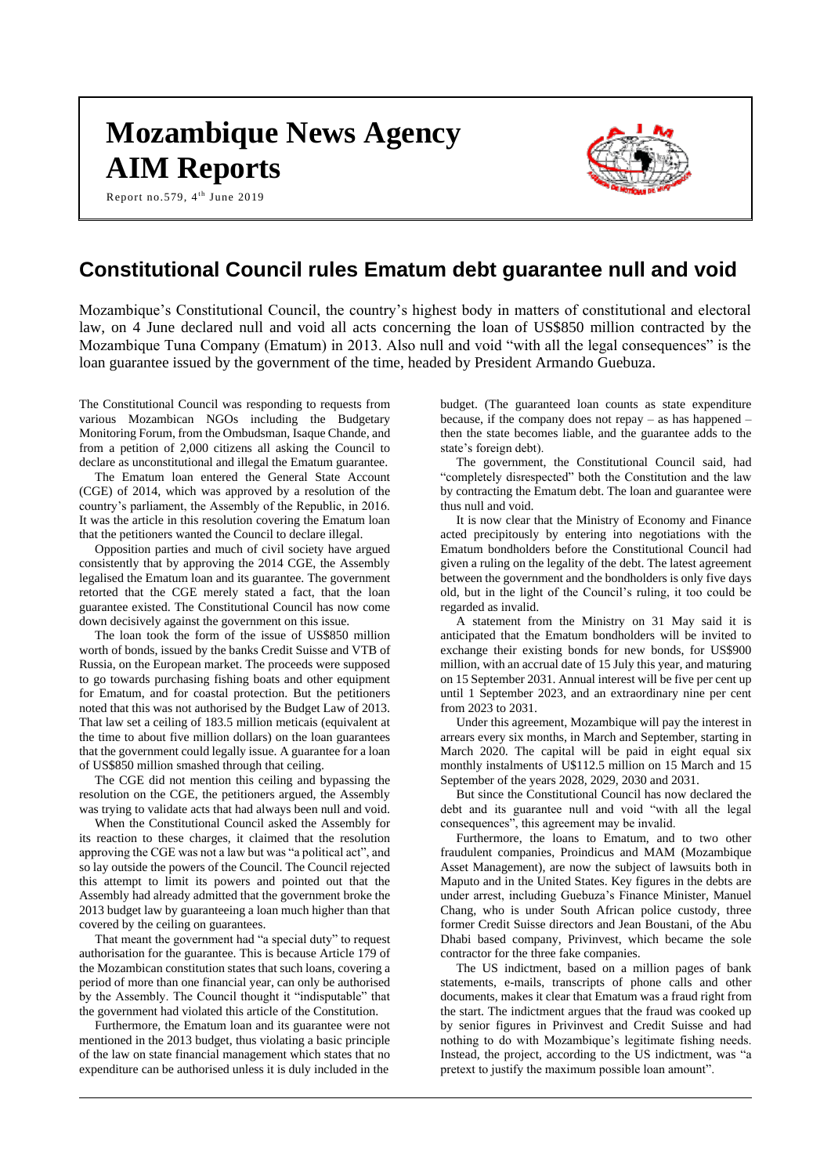# **Mozambique News Agency AIM Reports**

Report no.579,  $4^{\text{th}}$  June 2019



# **Constitutional Council rules Ematum debt guarantee null and void**

Mozambique's Constitutional Council, the country's highest body in matters of constitutional and electoral law, on 4 June declared null and void all acts concerning the loan of US\$850 million contracted by the Mozambique Tuna Company (Ematum) in 2013. Also null and void "with all the legal consequences" is the loan guarantee issued by the government of the time, headed by President Armando Guebuza.

The Constitutional Council was responding to requests from various Mozambican NGOs including the Budgetary Monitoring Forum, from the Ombudsman, Isaque Chande, and from a petition of 2,000 citizens all asking the Council to declare as unconstitutional and illegal the Ematum guarantee.

The Ematum loan entered the General State Account (CGE) of 2014, which was approved by a resolution of the country's parliament, the Assembly of the Republic, in 2016. It was the article in this resolution covering the Ematum loan that the petitioners wanted the Council to declare illegal.

Opposition parties and much of civil society have argued consistently that by approving the 2014 CGE, the Assembly legalised the Ematum loan and its guarantee. The government retorted that the CGE merely stated a fact, that the loan guarantee existed. The Constitutional Council has now come down decisively against the government on this issue.

The loan took the form of the issue of US\$850 million worth of bonds, issued by the banks Credit Suisse and VTB of Russia, on the European market. The proceeds were supposed to go towards purchasing fishing boats and other equipment for Ematum, and for coastal protection. But the petitioners noted that this was not authorised by the Budget Law of 2013. That law set a ceiling of 183.5 million meticais (equivalent at the time to about five million dollars) on the loan guarantees that the government could legally issue. A guarantee for a loan of US\$850 million smashed through that ceiling.

The CGE did not mention this ceiling and bypassing the resolution on the CGE, the petitioners argued, the Assembly was trying to validate acts that had always been null and void.

When the Constitutional Council asked the Assembly for its reaction to these charges, it claimed that the resolution approving the CGE was not a law but was "a political act", and so lay outside the powers of the Council. The Council rejected this attempt to limit its powers and pointed out that the Assembly had already admitted that the government broke the 2013 budget law by guaranteeing a loan much higher than that covered by the ceiling on guarantees.

That meant the government had "a special duty" to request authorisation for the guarantee. This is because Article 179 of the Mozambican constitution states that such loans, covering a period of more than one financial year, can only be authorised by the Assembly. The Council thought it "indisputable" that the government had violated this article of the Constitution.

Furthermore, the Ematum loan and its guarantee were not mentioned in the 2013 budget, thus violating a basic principle of the law on state financial management which states that no expenditure can be authorised unless it is duly included in the

budget. (The guaranteed loan counts as state expenditure because, if the company does not repay – as has happened – then the state becomes liable, and the guarantee adds to the state's foreign debt).

The government, the Constitutional Council said, had "completely disrespected" both the Constitution and the law by contracting the Ematum debt. The loan and guarantee were thus null and void.

It is now clear that the Ministry of Economy and Finance acted precipitously by entering into negotiations with the Ematum bondholders before the Constitutional Council had given a ruling on the legality of the debt. The latest agreement between the government and the bondholders is only five days old, but in the light of the Council's ruling, it too could be regarded as invalid.

A statement from the Ministry on 31 May said it is anticipated that the Ematum bondholders will be invited to exchange their existing bonds for new bonds, for US\$900 million, with an accrual date of 15 July this year, and maturing on 15 September 2031. Annual interest will be five per cent up until 1 September 2023, and an extraordinary nine per cent from 2023 to 2031.

Under this agreement, Mozambique will pay the interest in arrears every six months, in March and September, starting in March 2020. The capital will be paid in eight equal six monthly instalments of U\$112.5 million on 15 March and 15 September of the years 2028, 2029, 2030 and 2031.

But since the Constitutional Council has now declared the debt and its guarantee null and void "with all the legal consequences", this agreement may be invalid.

Furthermore, the loans to Ematum, and to two other fraudulent companies, Proindicus and MAM (Mozambique Asset Management), are now the subject of lawsuits both in Maputo and in the United States. Key figures in the debts are under arrest, including Guebuza's Finance Minister, Manuel Chang, who is under South African police custody, three former Credit Suisse directors and Jean Boustani, of the Abu Dhabi based company, Privinvest, which became the sole contractor for the three fake companies.

The US indictment, based on a million pages of bank statements, e-mails, transcripts of phone calls and other documents, makes it clear that Ematum was a fraud right from the start. The indictment argues that the fraud was cooked up by senior figures in Privinvest and Credit Suisse and had nothing to do with Mozambique's legitimate fishing needs. Instead, the project, according to the US indictment, was "a pretext to justify the maximum possible loan amount".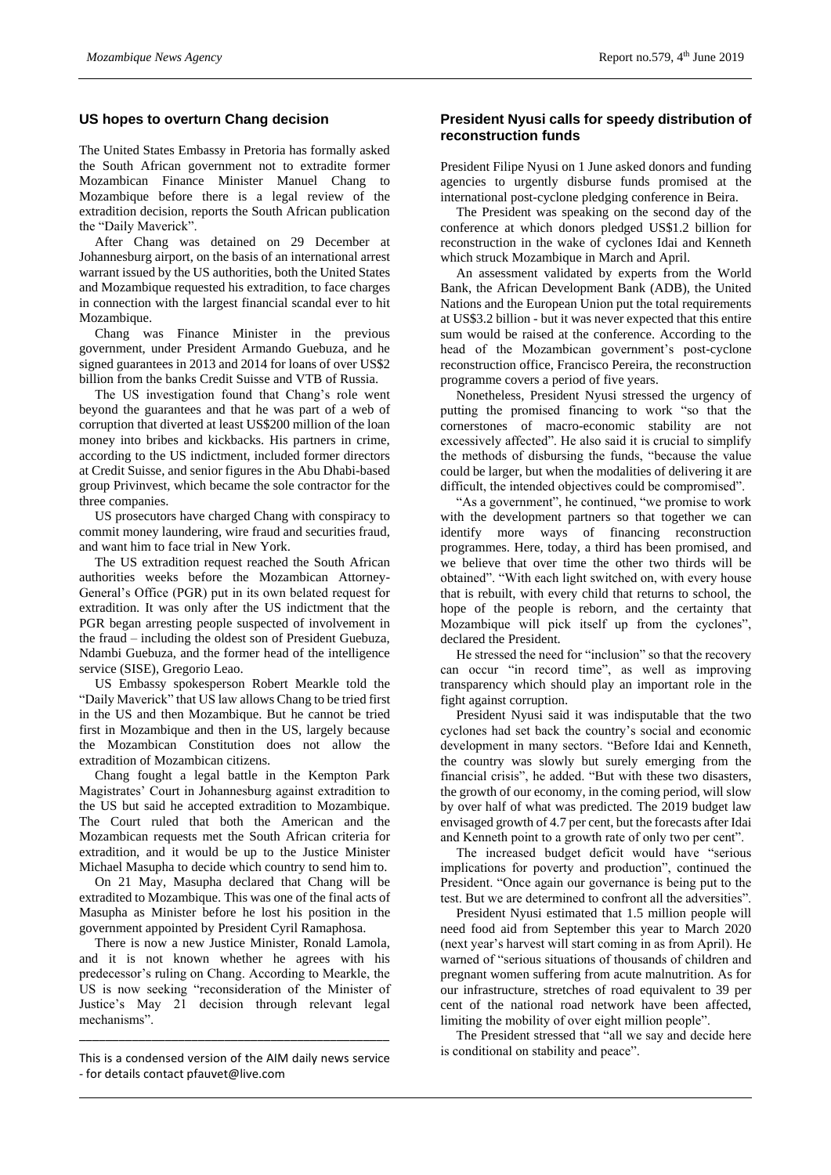# **US hopes to overturn Chang decision**

The United States Embassy in Pretoria has formally asked the South African government not to extradite former Mozambican Finance Minister Manuel Chang to Mozambique before there is a legal review of the extradition decision, reports the South African publication the "Daily Maverick".

After Chang was detained on 29 December at Johannesburg airport, on the basis of an international arrest warrant issued by the US authorities, both the United States and Mozambique requested his extradition, to face charges in connection with the largest financial scandal ever to hit Mozambique.

Chang was Finance Minister in the previous government, under President Armando Guebuza, and he signed guarantees in 2013 and 2014 for loans of over US\$2 billion from the banks Credit Suisse and VTB of Russia.

The US investigation found that Chang's role went beyond the guarantees and that he was part of a web of corruption that diverted at least US\$200 million of the loan money into bribes and kickbacks. His partners in crime, according to the US indictment, included former directors at Credit Suisse, and senior figures in the Abu Dhabi-based group Privinvest, which became the sole contractor for the three companies.

US prosecutors have charged Chang with conspiracy to commit money laundering, wire fraud and securities fraud, and want him to face trial in New York.

The US extradition request reached the South African authorities weeks before the Mozambican Attorney-General's Office (PGR) put in its own belated request for extradition. It was only after the US indictment that the PGR began arresting people suspected of involvement in the fraud – including the oldest son of President Guebuza, Ndambi Guebuza, and the former head of the intelligence service (SISE), Gregorio Leao.

US Embassy spokesperson Robert Mearkle told the "Daily Maverick" that US law allows Chang to be tried first in the US and then Mozambique. But he cannot be tried first in Mozambique and then in the US, largely because the Mozambican Constitution does not allow the extradition of Mozambican citizens.

Chang fought a legal battle in the Kempton Park Magistrates' Court in Johannesburg against extradition to the US but said he accepted extradition to Mozambique. The Court ruled that both the American and the Mozambican requests met the South African criteria for extradition, and it would be up to the Justice Minister Michael Masupha to decide which country to send him to.

On 21 May, Masupha declared that Chang will be extradited to Mozambique. This was one of the final acts of Masupha as Minister before he lost his position in the government appointed by President Cyril Ramaphosa.

There is now a new Justice Minister, Ronald Lamola, and it is not known whether he agrees with his predecessor's ruling on Chang. According to Mearkle, the US is now seeking "reconsideration of the Minister of Justice's May 21 decision through relevant legal mechanisms".

\_\_\_\_\_\_\_\_\_\_\_\_\_\_\_\_\_\_\_\_\_\_\_\_\_\_\_\_\_\_\_\_\_\_\_\_\_\_\_\_\_\_\_\_\_\_\_

# **President Nyusi calls for speedy distribution of reconstruction funds**

President Filipe Nyusi on 1 June asked donors and funding agencies to urgently disburse funds promised at the international post-cyclone pledging conference in Beira.

The President was speaking on the second day of the conference at which donors pledged US\$1.2 billion for reconstruction in the wake of cyclones Idai and Kenneth which struck Mozambique in March and April.

An assessment validated by experts from the World Bank, the African Development Bank (ADB), the United Nations and the European Union put the total requirements at US\$3.2 billion - but it was never expected that this entire sum would be raised at the conference. According to the head of the Mozambican government's post-cyclone reconstruction office, Francisco Pereira, the reconstruction programme covers a period of five years.

Nonetheless, President Nyusi stressed the urgency of putting the promised financing to work "so that the cornerstones of macro-economic stability are not excessively affected". He also said it is crucial to simplify the methods of disbursing the funds, "because the value could be larger, but when the modalities of delivering it are difficult, the intended objectives could be compromised".

"As a government", he continued, "we promise to work with the development partners so that together we can identify more ways of financing reconstruction programmes. Here, today, a third has been promised, and we believe that over time the other two thirds will be obtained". "With each light switched on, with every house that is rebuilt, with every child that returns to school, the hope of the people is reborn, and the certainty that Mozambique will pick itself up from the cyclones", declared the President.

He stressed the need for "inclusion" so that the recovery can occur "in record time", as well as improving transparency which should play an important role in the fight against corruption.

President Nyusi said it was indisputable that the two cyclones had set back the country's social and economic development in many sectors. "Before Idai and Kenneth, the country was slowly but surely emerging from the financial crisis", he added. "But with these two disasters, the growth of our economy, in the coming period, will slow by over half of what was predicted. The 2019 budget law envisaged growth of 4.7 per cent, but the forecasts after Idai and Kenneth point to a growth rate of only two per cent".

The increased budget deficit would have "serious implications for poverty and production", continued the President. "Once again our governance is being put to the test. But we are determined to confront all the adversities".

President Nyusi estimated that 1.5 million people will need food aid from September this year to March 2020 (next year's harvest will start coming in as from April). He warned of "serious situations of thousands of children and pregnant women suffering from acute malnutrition. As for our infrastructure, stretches of road equivalent to 39 per cent of the national road network have been affected, limiting the mobility of over eight million people".

The President stressed that "all we say and decide here is conditional on stability and peace".

This is a condensed version of the AIM daily news service - for details contact pfauvet@live.com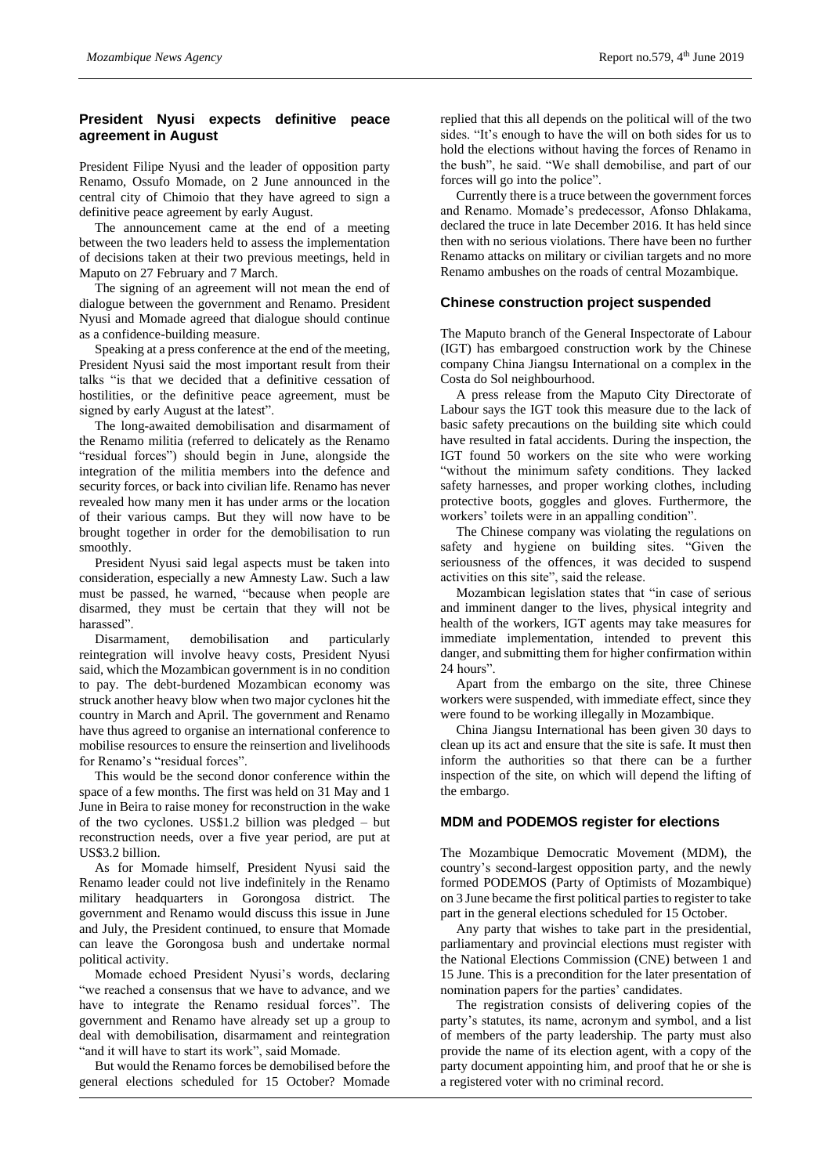# **President Nyusi expects definitive peace agreement in August**

President Filipe Nyusi and the leader of opposition party Renamo, Ossufo Momade, on 2 June announced in the central city of Chimoio that they have agreed to sign a definitive peace agreement by early August.

The announcement came at the end of a meeting between the two leaders held to assess the implementation of decisions taken at their two previous meetings, held in Maputo on 27 February and 7 March.

The signing of an agreement will not mean the end of dialogue between the government and Renamo. President Nyusi and Momade agreed that dialogue should continue as a confidence-building measure.

Speaking at a press conference at the end of the meeting, President Nyusi said the most important result from their talks "is that we decided that a definitive cessation of hostilities, or the definitive peace agreement, must be signed by early August at the latest".

The long-awaited demobilisation and disarmament of the Renamo militia (referred to delicately as the Renamo "residual forces") should begin in June, alongside the integration of the militia members into the defence and security forces, or back into civilian life. Renamo has never revealed how many men it has under arms or the location of their various camps. But they will now have to be brought together in order for the demobilisation to run smoothly.

President Nyusi said legal aspects must be taken into consideration, especially a new Amnesty Law. Such a law must be passed, he warned, "because when people are disarmed, they must be certain that they will not be harassed".

Disarmament, demobilisation and particularly reintegration will involve heavy costs, President Nyusi said, which the Mozambican government is in no condition to pay. The debt-burdened Mozambican economy was struck another heavy blow when two major cyclones hit the country in March and April. The government and Renamo have thus agreed to organise an international conference to mobilise resources to ensure the reinsertion and livelihoods for Renamo's "residual forces".

This would be the second donor conference within the space of a few months. The first was held on 31 May and 1 June in Beira to raise money for reconstruction in the wake of the two cyclones. US\$1.2 billion was pledged – but reconstruction needs, over a five year period, are put at US\$3.2 billion.

As for Momade himself, President Nyusi said the Renamo leader could not live indefinitely in the Renamo military headquarters in Gorongosa district. The government and Renamo would discuss this issue in June and July, the President continued, to ensure that Momade can leave the Gorongosa bush and undertake normal political activity.

Momade echoed President Nyusi's words, declaring "we reached a consensus that we have to advance, and we have to integrate the Renamo residual forces". The government and Renamo have already set up a group to deal with demobilisation, disarmament and reintegration "and it will have to start its work", said Momade.

But would the Renamo forces be demobilised before the general elections scheduled for 15 October? Momade replied that this all depends on the political will of the two sides. "It's enough to have the will on both sides for us to hold the elections without having the forces of Renamo in the bush", he said. "We shall demobilise, and part of our forces will go into the police".

Currently there is a truce between the government forces and Renamo. Momade's predecessor, Afonso Dhlakama, declared the truce in late December 2016. It has held since then with no serious violations. There have been no further Renamo attacks on military or civilian targets and no more Renamo ambushes on the roads of central Mozambique.

# **Chinese construction project suspended**

The Maputo branch of the General Inspectorate of Labour (IGT) has embargoed construction work by the Chinese company China Jiangsu International on a complex in the Costa do Sol neighbourhood.

A press release from the Maputo City Directorate of Labour says the IGT took this measure due to the lack of basic safety precautions on the building site which could have resulted in fatal accidents. During the inspection, the IGT found 50 workers on the site who were working "without the minimum safety conditions. They lacked safety harnesses, and proper working clothes, including protective boots, goggles and gloves. Furthermore, the workers' toilets were in an appalling condition".

The Chinese company was violating the regulations on safety and hygiene on building sites. "Given the seriousness of the offences, it was decided to suspend activities on this site", said the release.

Mozambican legislation states that "in case of serious and imminent danger to the lives, physical integrity and health of the workers, IGT agents may take measures for immediate implementation, intended to prevent this danger, and submitting them for higher confirmation within 24 hours".

Apart from the embargo on the site, three Chinese workers were suspended, with immediate effect, since they were found to be working illegally in Mozambique.

China Jiangsu International has been given 30 days to clean up its act and ensure that the site is safe. It must then inform the authorities so that there can be a further inspection of the site, on which will depend the lifting of the embargo.

#### **MDM and PODEMOS register for elections**

The Mozambique Democratic Movement (MDM), the country's second-largest opposition party, and the newly formed PODEMOS (Party of Optimists of Mozambique) on 3 June became the first political parties to register to take part in the general elections scheduled for 15 October.

Any party that wishes to take part in the presidential, parliamentary and provincial elections must register with the National Elections Commission (CNE) between 1 and 15 June. This is a precondition for the later presentation of nomination papers for the parties' candidates.

The registration consists of delivering copies of the party's statutes, its name, acronym and symbol, and a list of members of the party leadership. The party must also provide the name of its election agent, with a copy of the party document appointing him, and proof that he or she is a registered voter with no criminal record.